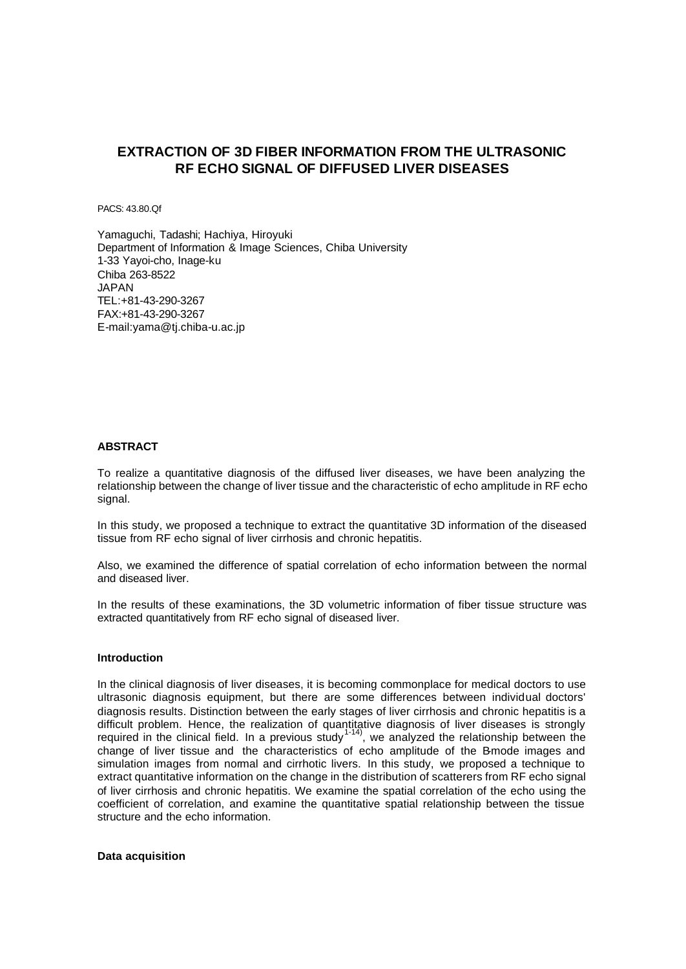# **EXTRACTION OF 3D FIBER INFORMATION FROM THE ULTRASONIC RF ECHO SIGNAL OF DIFFUSED LIVER DISEASES**

PACS: 43.80.Qf

Yamaguchi, Tadashi; Hachiya, Hiroyuki Department of Information & Image Sciences, Chiba University 1-33 Yayoi-cho, Inage-ku Chiba 263-8522 JAPAN TEL:+81-43-290-3267 FAX:+81-43-290-3267 E-mail:yama@tj.chiba-u.ac.jp

# **ABSTRACT**

To realize a quantitative diagnosis of the diffused liver diseases, we have been analyzing the relationship between the change of liver tissue and the characteristic of echo amplitude in RF echo signal.

In this study, we proposed a technique to extract the quantitative 3D information of the diseased tissue from RF echo signal of liver cirrhosis and chronic hepatitis.

Also, we examined the difference of spatial correlation of echo information between the normal and diseased liver.

In the results of these examinations, the 3D volumetric information of fiber tissue structure was extracted quantitatively from RF echo signal of diseased liver.

### **Introduction**

In the clinical diagnosis of liver diseases, it is becoming commonplace for medical doctors to use ultrasonic diagnosis equipment, but there are some differences between individual doctors' diagnosis results. Distinction between the early stages of liver cirrhosis and chronic hepatitis is a difficult problem. Hence, the realization of quantitative diagnosis of liver diseases is strongly required in the clinical field. In a previous study<sup>1-14)</sup>, we analyzed the relationship between the change of liver tissue and the characteristics of echo amplitude of the B-mode images and simulation images from normal and cirrhotic livers. In this study, we proposed a technique to extract quantitative information on the change in the distribution of scatterers from RF echo signal of liver cirrhosis and chronic hepatitis. We examine the spatial correlation of the echo using the coefficient of correlation, and examine the quantitative spatial relationship between the tissue structure and the echo information.

**Data acquisition**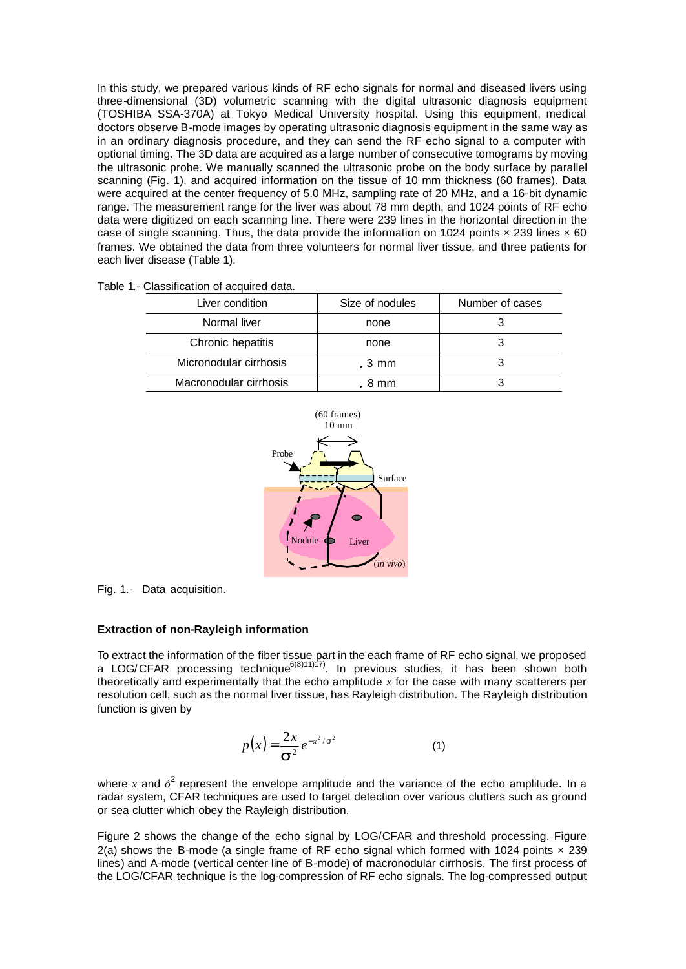In this study, we prepared various kinds of RF echo signals for normal and diseased livers using three-dimensional (3D) volumetric scanning with the digital ultrasonic diagnosis equipment (TOSHIBA SSA-370A) at Tokyo Medical University hospital. Using this equipment, medical doctors observe B-mode images by operating ultrasonic diagnosis equipment in the same way as in an ordinary diagnosis procedure, and they can send the RF echo signal to a computer with optional timing. The 3D data are acquired as a large number of consecutive tomograms by moving the ultrasonic probe. We manually scanned the ultrasonic probe on the body surface by parallel scanning (Fig. 1), and acquired information on the tissue of 10 mm thickness (60 frames). Data were acquired at the center frequency of 5.0 MHz, sampling rate of 20 MHz, and a 16-bit dynamic range. The measurement range for the liver was about 78 mm depth, and 1024 points of RF echo data were digitized on each scanning line. There were 239 lines in the horizontal direction in the case of single scanning. Thus, the data provide the information on 1024 points  $\times$  239 lines  $\times$  60 frames. We obtained the data from three volunteers for normal liver tissue, and three patients for each liver disease (Table 1).

|  | Table 1.- Classification of acquired data. |  |  |
|--|--------------------------------------------|--|--|
|--|--------------------------------------------|--|--|

| Liver condition        | Size of nodules | Number of cases |
|------------------------|-----------------|-----------------|
| Normal liver           | none            |                 |
| Chronic hepatitis      | none            |                 |
| Micronodular cirrhosis | $.3 \text{ mm}$ |                 |
| Macronodular cirrhosis | . 8 mm          |                 |



Fig. 1.- Data acquisition.

#### **Extraction of non-Rayleigh information**

To extract the information of the fiber tissue part in the each frame of RF echo signal, we proposed a LOG/CFAR processing technique<sup>6)8)11)17)</sup>. In previous studies, it has been shown both theoretically and experimentally that the echo amplitude *x* for the case with many scatterers per resolution cell, such as the normal liver tissue, has Rayleigh distribution. The Rayleigh distribution function is given by

$$
p(x) = \frac{2x}{s^2} e^{-x^2/s^2}
$$
 (1)

where x and  $\delta^2$  represent the envelope amplitude and the variance of the echo amplitude. In a radar system, CFAR techniques are used to target detection over various clutters such as ground or sea clutter which obey the Rayleigh distribution.

Figure 2 shows the change of the echo signal by LOG/CFAR and threshold processing. Figure 2(a) shows the B-mode (a single frame of RF echo signal which formed with 1024 points  $\times$  239 lines) and A-mode (vertical center line of B-mode) of macronodular cirrhosis. The first process of the LOG/CFAR technique is the log-compression of RF echo signals. The log-compressed output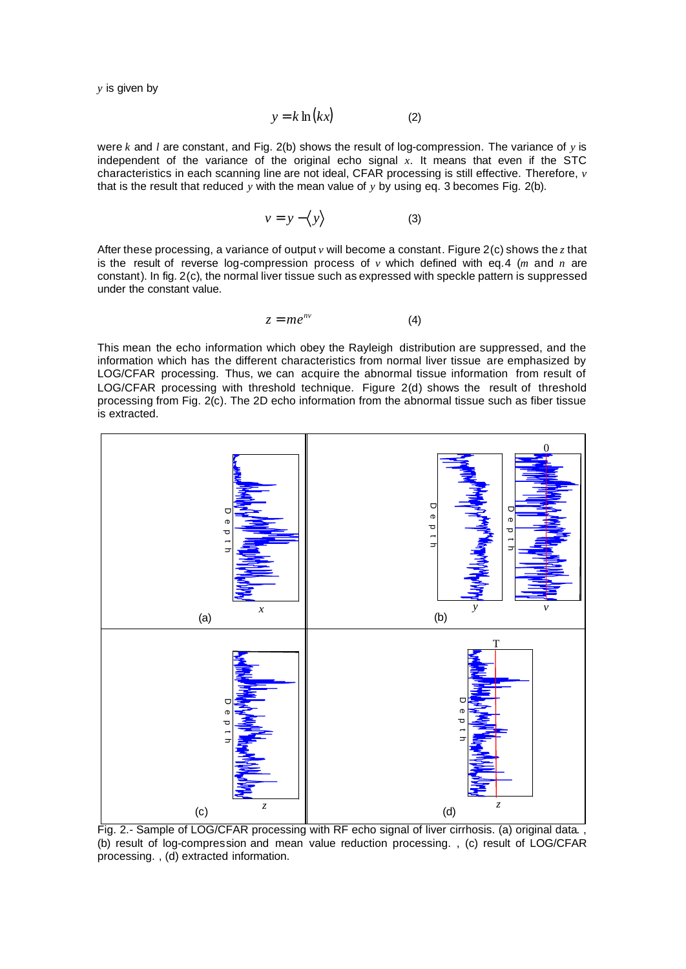*y* is given by

$$
y = k \ln(kx) \tag{2}
$$

were *k* and *l* are constant, and Fig. 2(b) shows the result of log-compression. The variance of *y* is independent of the variance of the original echo signal *x*. It means that even if the STC characteristics in each scanning line are not ideal, CFAR processing is still effective. Therefore, *v* that is the result that reduced *y* with the mean value of *y* by using eq. 3 becomes Fig. 2(b).

$$
v = y - \langle y \rangle \tag{3}
$$

After these processing, a variance of output *v* will become a constant. Figure 2(c) shows the *z* that is the result of reverse log-compression process of *v* which defined with eq.4 (*m* and *n* are constant). In fig. 2(c), the normal liver tissue such as expressed with speckle pattern is suppressed under the constant value.

$$
z = me^{nv} \tag{4}
$$

This mean the echo information which obey the Rayleigh distribution are suppressed, and the information which has the different characteristics from normal liver tissue are emphasized by LOG/CFAR processing. Thus, we can acquire the abnormal tissue information from result of LOG/CFAR processing with threshold technique. Figure 2(d) shows the result of threshold processing from Fig. 2(c). The 2D echo information from the abnormal tissue such as fiber tissue is extracted.



Fig. 2.- Sample of LOG/CFAR processing with RF echo signal of liver cirrhosis. (a) original data. (b) result of log-compression and mean value reduction processing. , (c) result of LOG/CFAR processing. , (d) extracted information.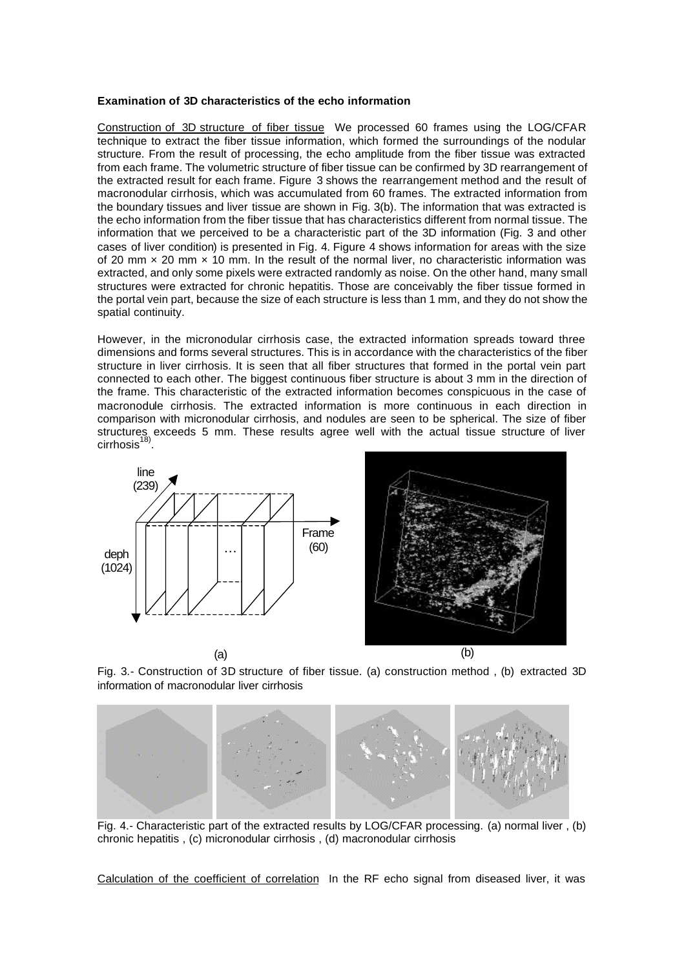#### **Examination of 3D characteristics of the echo information**

Construction of 3D structure of fiber tissue We processed 60 frames using the LOG/CFAR technique to extract the fiber tissue information, which formed the surroundings of the nodular structure. From the result of processing, the echo amplitude from the fiber tissue was extracted from each frame. The volumetric structure of fiber tissue can be confirmed by 3D rearrangement of the extracted result for each frame. Figure 3 shows the rearrangement method and the result of macronodular cirrhosis, which was accumulated from 60 frames. The extracted information from the boundary tissues and liver tissue are shown in Fig. 3(b). The information that was extracted is the echo information from the fiber tissue that has characteristics different from normal tissue. The information that we perceived to be a characteristic part of the 3D information (Fig. 3 and other cases of liver condition) is presented in Fig. 4. Figure 4 shows information for areas with the size of 20 mm  $\times$  20 mm  $\times$  10 mm. In the result of the normal liver, no characteristic information was extracted, and only some pixels were extracted randomly as noise. On the other hand, many small structures were extracted for chronic hepatitis. Those are conceivably the fiber tissue formed in the portal vein part, because the size of each structure is less than 1 mm, and they do not show the spatial continuity.

However, in the micronodular cirrhosis case, the extracted information spreads toward three dimensions and forms several structures. This is in accordance with the characteristics of the fiber structure in liver cirrhosis. It is seen that all fiber structures that formed in the portal vein part connected to each other. The biggest continuous fiber structure is about 3 mm in the direction of the frame. This characteristic of the extracted information becomes conspicuous in the case of macronodule cirrhosis. The extracted information is more continuous in each direction in comparison with micronodular cirrhosis, and nodules are seen to be spherical. The size of fiber structures exceeds 5 mm. These results agree well with the actual tissue structure of liver cirrhosis<sup>18)</sup>.





Fig. 3.- Construction of 3D structure of fiber tissue. (a) construction method , (b) extracted 3D information of macronodular liver cirrhosis



Fig. 4.- Characteristic part of the extracted results by LOG/CFAR processing. (a) normal liver , (b) chronic hepatitis , (c) micronodular cirrhosis , (d) macronodular cirrhosis

Calculation of the coefficient of correlation In the RF echo signal from diseased liver, it was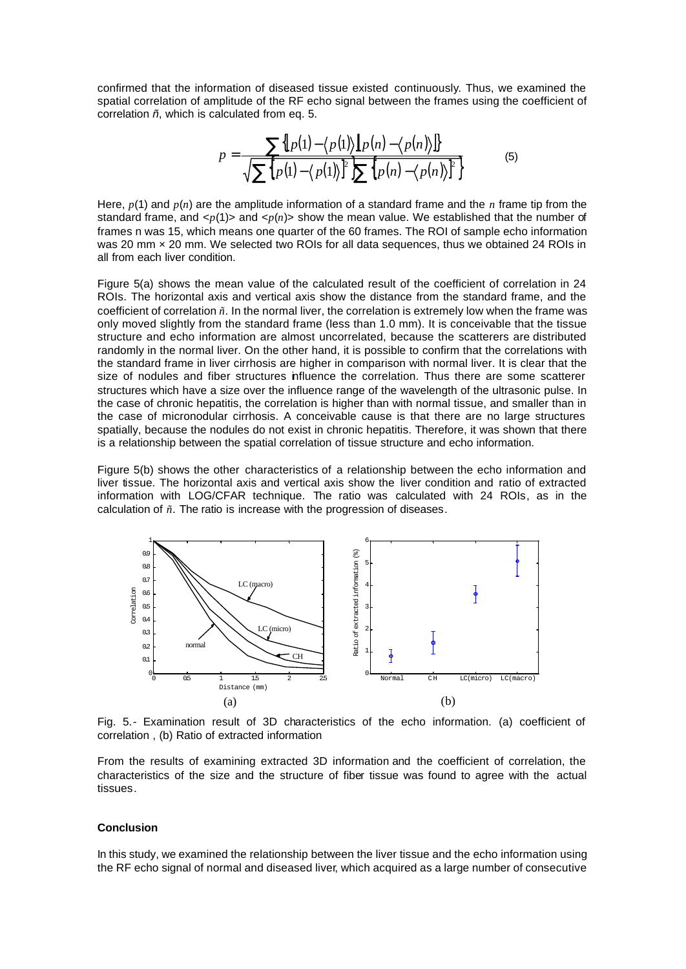confirmed that the information of diseased tissue existed continuously. Thus, we examined the spatial correlation of amplitude of the RF echo signal between the frames using the coefficient of correlation *ñ*, which is calculated from eq. 5.

$$
p = \frac{\sum \{p(1) - \langle p(1) \rangle \| p(n) - \langle p(n) \rangle \}}{\sqrt{\sum \{p(1) - \langle p(1) \rangle\}^2 \sum \{p(n) - \langle p(n) \rangle\}^2}}
$$
(5)

Here, *p*(1) and *p*(*n*) are the amplitude information of a standard frame and the *n* frame tip from the standard frame, and  $\langle p(1) \rangle$  and  $\langle p(n) \rangle$  show the mean value. We established that the number of frames n was 15, which means one quarter of the 60 frames. The ROI of sample echo information was 20 mm x 20 mm. We selected two ROIs for all data sequences, thus we obtained 24 ROIs in all from each liver condition.

Figure 5(a) shows the mean value of the calculated result of the coefficient of correlation in 24 ROIs. The horizontal axis and vertical axis show the distance from the standard frame, and the coefficient of correlation *ñ*. In the normal liver, the correlation is extremely low when the frame was only moved slightly from the standard frame (less than 1.0 mm). It is conceivable that the tissue structure and echo information are almost uncorrelated, because the scatterers are distributed randomly in the normal liver. On the other hand, it is possible to confirm that the correlations with the standard frame in liver cirrhosis are higher in comparison with normal liver. It is clear that the size of nodules and fiber structures influence the correlation. Thus there are some scatterer structures which have a size over the influence range of the wavelength of the ultrasonic pulse. In the case of chronic hepatitis, the correlation is higher than with normal tissue, and smaller than in the case of micronodular cirrhosis. A conceivable cause is that there are no large structures spatially, because the nodules do not exist in chronic hepatitis. Therefore, it was shown that there is a relationship between the spatial correlation of tissue structure and echo information.

Figure 5(b) shows the other characteristics of a relationship between the echo information and liver tissue. The horizontal axis and vertical axis show the liver condition and ratio of extracted information with LOG/CFAR technique. The ratio was calculated with 24 ROIs, as in the calculation of *ñ*. The ratio is increase with the progression of diseases.



Fig. 5.- Examination result of 3D characteristics of the echo information. (a) coefficient of correlation , (b) Ratio of extracted information

From the results of examining extracted 3D information and the coefficient of correlation, the characteristics of the size and the structure of fiber tissue was found to agree with the actual tissues.

#### **Conclusion**

In this study, we examined the relationship between the liver tissue and the echo information using the RF echo signal of normal and diseased liver, which acquired as a large number of consecutive